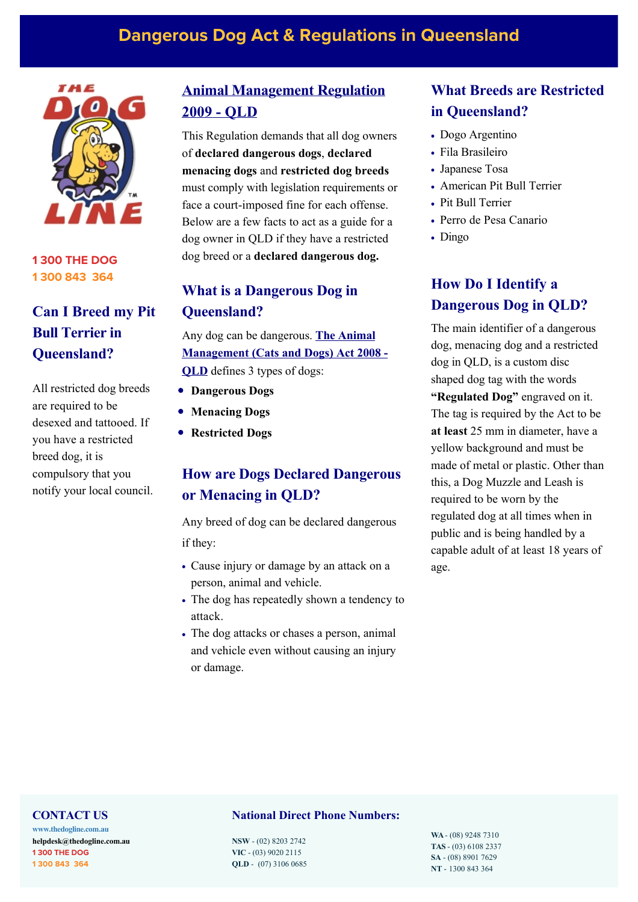# **Dangerous Dog Act & Regulations in Queensland**



**1 300 THE DOG 1 300 843 364**

# **Can I Breed my Pit Bull Terrier in Queensland?**

All restricted dog breeds are required to be desexed and tattooed. If you have a restricted breed dog, it is compulsory that you notify your local council.

# **[Animal Management Regulation](http://classic.austlii.edu.au/au/legis/qld/consol_reg/amadr2009335/) 2009 - QLD**

This Regulation demands that all dog owners of **declared dangerous dogs**, **declared menacing dogs** and **restricted dog breeds** must comply with legislation requirements or face a court-imposed fine for each offense. Below are a few facts to act as a guide for a dog owner in QLD if they have a restricted dog breed or a **declared dangerous dog.**

# **What is a Dangerous Dog in Queensland?**

Any dog can be dangerous. **The Animal [Management \(Cats and Dogs\) Act 2008 -](http://classic.austlii.edu.au/au/legis/qld/consol_act/amada2008244/) OLD** defines 3 types of dogs:

- **Dangerous Dogs**
- **Menacing Dogs**
- **Restricted Dogs**

# **How are Dogs Declared Dangerous or Menacing in QLD?**

Any breed of dog can be declared dangerous if they:

- Cause injury or damage by an attack on a person, animal and vehicle.
- The dog has repeatedly shown a tendency to attack.
- The dog attacks or chases a person, animal and vehicle even without causing an injury or damage.

# **What Breeds are Restricted in Queensland?**

- Dogo Argentino
- Fila Brasileiro
- Japanese Tosa
- American Pit Bull Terrier
- Pit Bull Terrier
- Perro de Pesa Canario
- Dingo

# **How Do I Identify a Dangerous Dog in QLD?**

The main identifier of a dangerous dog, menacing dog and a restricted dog in QLD, is a custom disc shaped dog tag with the words **"Regulated Dog"** engraved on it. The tag is required by the Act to be **at least** 25 mm in diameter, have a yellow background and must be made of metal or plastic. Other than this, a Dog Muzzle and Leash is required to be worn by the regulated dog at all times when in public and is being handled by a capable adult of at least 18 years of age.

#### **CONTACT US**

**[www.thedogline.com.au](https://www.thedogline.com.au/) [helpdesk@thedogline.com.](mailto:helpdesk@thedogline.com)au 1 300 THE DOG 1 300 843 364**

# **National Direct Phone Numbers:**

**NSW** - (02) 8203 2742 **VIC** - (03) 9020 2115 **QLD** - (07) 3106 0685 **WA** - (08) 9248 7310 **TAS** - (03) 6108 2337 **SA** - (08) 8901 7629 **NT** - 1300 843 364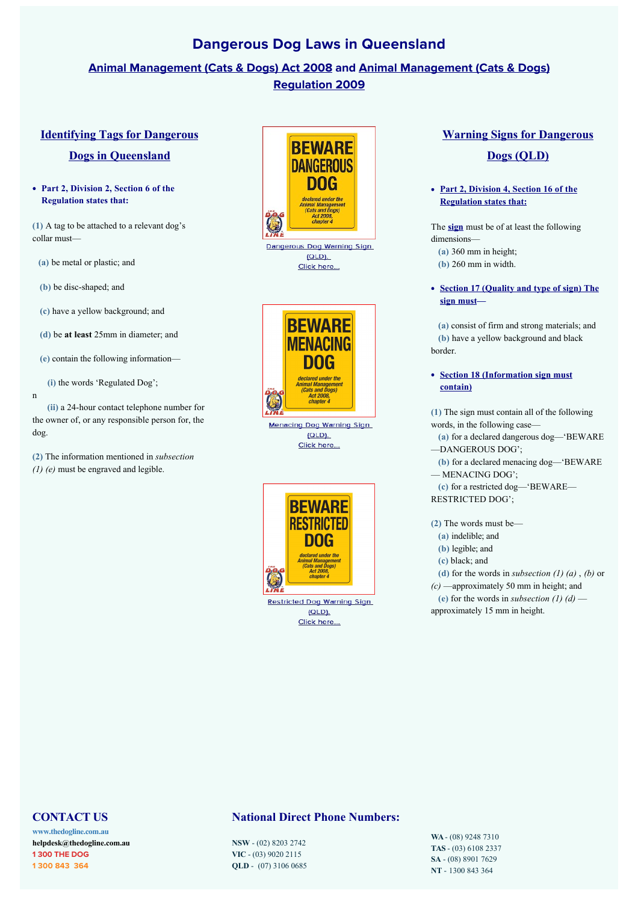# **Dangerous Dog Laws in Queensland**

# **[Animal Management \(Cats & Dogs\) Act 200](http://classic.austlii.edu.au/au/legis/qld/consol_act/amada2008244/)[8 and Animal Management \(Cats & Dogs\)](http://classic.austlii.edu.au/au/legis/qld/consol_reg/amadr2009335/) Regulation 2009**

## **[Identifying Tags for Dangerous](http://classic.austlii.edu.au/au/legis/qld/consol_reg/amadr2009335/s6.html)**

## **Dogs in Queensland**

**Part 2, Division 2, Section 6 of the Regulation states that:** 

**(1)** A tag to be attached to a relevant dog's collar must—

**(a)** be metal or plastic; and

**(b)** be disc-shaped; and

**(c)** have a yellow background; and

**(d)** be **at least** 25mm in diameter; and

**(e)** contain the following information—

**(i)** the words 'Regulated Dog';

n

 **(ii)** a 24-hour contact telephone number for the owner of, or any responsible person for, the dog.

**(2)** The information mentioned in *subsection (1) (e)* must be engraved and legible.



**BEWARE MENACING** DOG declared under the<br>Animal Managemen<br>(Cats and Dogs)<br>Act 2008,<br>chapter 4 **TO Menacing Dog Warning Sign** 

 $(QLD)$ . Click here...



 $(Q|D)$ Click here...

# **[Warning Signs for Dangerous](http://classic.austlii.edu.au/au/legis/qld/consol_reg/amadr2009335/s15.html)**

# **Dogs (QLD)**

#### **[Part 2, Division 4, Section 16 of the](http://classic.austlii.edu.au/au/legis/qld/consol_reg/amadr2009335/s16.html) Regulation states that:**

The **[sign](https://www.thedogline.com.au/buy/dangerous-dog-sign-qld)** must be of at least the following dimensions—  **(a)** 360 mm in height;

- 
- **(b)** 260 mm in width.
- **[Section 17 \(Q](http://classic.austlii.edu.au/au/legis/qld/consol_reg/amadr2009335/s17.html)uality and type of sign) The sign must—**

 **(a)** consist of firm and strong materials; and  **(b)** have a yellow background and black border.

#### **[Section 18 \(Information sign must](http://classic.austlii.edu.au/au/legis/qld/consol_reg/amadr2009335/s18.html) contain)**

**(1)** The sign must contain all of the following words, in the following case—

 **(a)** for a declared dangerous dog—'BEWARE —DANGEROUS DOG';

 **(b)** for a declared menacing dog—'BEWARE

— MENACING DOG';

 **(c)** for a restricted dog—'BEWARE— RESTRICTED DOG';

**(2)** The words must be—

- **(a)** indelible; and
- **(b)** legible; and
- **(c)** black; and

 **(d)** for the words in *subsection (1) (a)* , *(b)* or

*(c)* —approximately 50 mm in height; and

(e) for the words in *subsection* (1) (d) approximately 15 mm in height.

## **CONTACT US**

**[www.thedogline.com.au](https://www.thedogline.com.au/) [helpdesk@thedogline.com.](mailto:helpdesk@thedogline.com)au 1 300 THE DOG 1 300 843 364**

## **National Direct Phone Numbers:**

**NSW** - (02) 8203 2742 **VIC** - (03) 9020 2115 **QLD** - (07) 3106 0685 **WA** - (08) 9248 7310 **TAS** - (03) 6108 2337 **SA** - (08) 8901 7629 **NT** - 1300 843 364